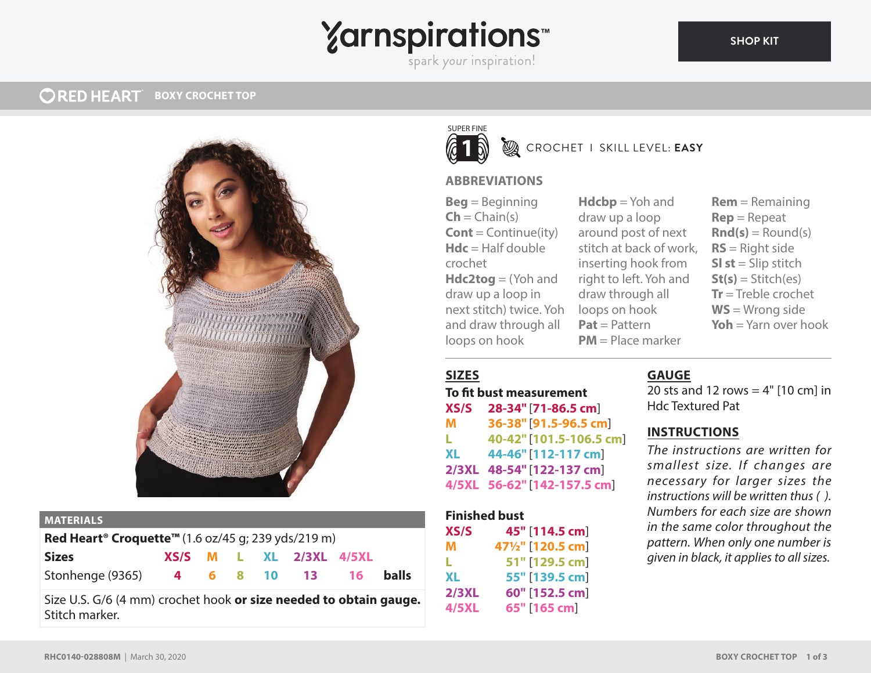# **Yarnspirations**

spark your inspiration!

#### **ORED HEART BOXY CROCHET TOP**



#### **MATERIALS**

| Red Heart <sup>®</sup> Croquette <sup>™</sup> (1.6 oz/45 g; 239 yds/219 m) |  |  |  |  |                             |  |              |
|----------------------------------------------------------------------------|--|--|--|--|-----------------------------|--|--------------|
| <b>Sizes</b>                                                               |  |  |  |  | $XS/S$ M L XL $2/3XL$ 4/5XL |  |              |
| Stonhenge (9365) 4 6 8 10 13 16                                            |  |  |  |  |                             |  | <b>balls</b> |

Size U.S. G/6 (4 mm) crochet hook **or size needed to obtain gauge.** Stitch marker.



## CROCHET I SKILL LEVEL: **EASY**

#### **ABBREVIATIONS**

**Beg** = Beginning  $\mathsf{Ch} = \mathsf{Chain}(s)$ **Cont** = Continue(ity)  $Hdc = Half double$ crochet **Hdc2tog** = (Yoh and draw up a loop in next stitch) twice. Yoh and draw through all loops on hook

**Hdcbp** = Yoh and draw up a loop around post of next stitch at back of work, inserting hook from right to left. Yoh and draw through all loops on hook **Pat** = Pattern **PM** = Place marker

**Rem** = Remaining **Rep** = Repeat  $\text{Rnd}(s) =$  Round(s) **RS** = Right side **SI st** = Slip stitch  $St(s) = Stitch(es)$ **Tr** = Treble crochet **WS** = Wrong side **Yoh** = Yarn over hook

## **SIZES**

## **To fit bust measurement**

**XS/S 28-34"** [**71-86.5 cm**] **M 36-38"** [**91.5-96.5 cm**] **L 40-42"** [**101.5-106.5 cm**] **XL 44-46"** [**112-117 cm**] **2/3XL 48-54"** [**122-137 cm**] **4/5XL 56-62"** [**142-157.5 cm**]

#### **Finished bust**

| XS/S  | 45" [114.5 cm]    |
|-------|-------------------|
| м     | 471/2" [120.5 cm] |
| L.    | 51" [129.5 cm]    |
| XL    | 55" [139.5 cm]    |
| 2/3XL | 60" [152.5 cm]    |
| 4/5XL | 65" [165 cm]      |

#### **GAUGE**

20 sts and 12 rows  $=$  4"  $[10 \text{ cm}]$  in Hdc Textured Pat

#### **INSTRUCTIONS**

*The instructions are written for smallest size. If changes are necessary for larger sizes the instructions will be written thus ( ). Numbers for each size are shown in the same color throughout the pattern. When only one number is given in black, it applies to all sizes.*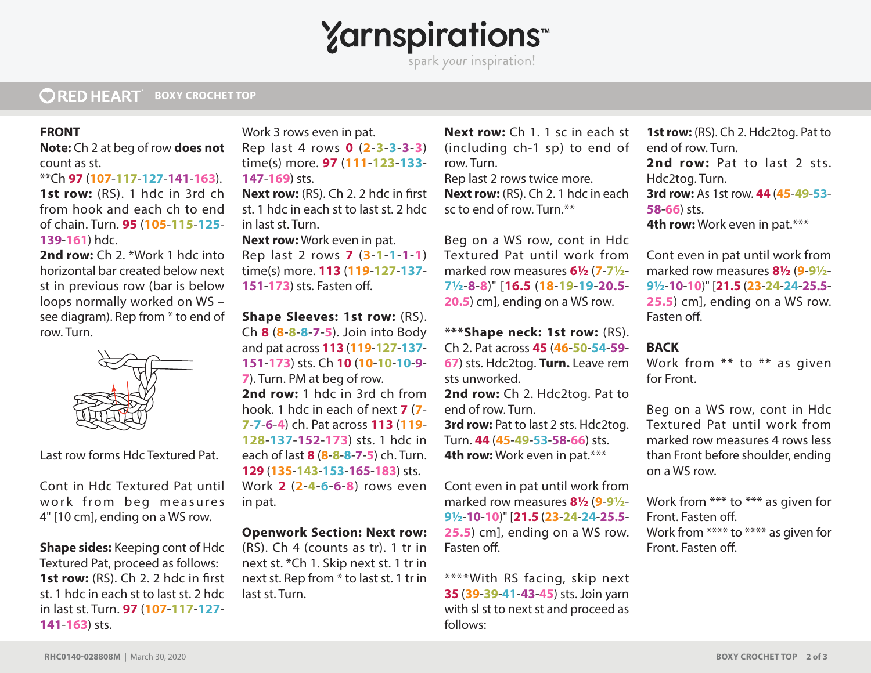**Yarnspirations** 

spark your inspiration!

#### **ORED HEART BOXY CROCHET TOP**

#### **FRONT**

**Note:** Ch 2 at beg of row **does not** count as st.

\*\*Ch **97** (**107**-**117**-**127**-**141**-**163**).

**1st row:** (RS). 1 hdc in 3rd ch from hook and each ch to end of chain. Turn. **95** (**105**-**115**-**125**- **139**-**161**) hdc.

2nd row: Ch 2. \*Work 1 hdc into horizontal bar created below next st in previous row (bar is below loops normally worked on WS – see diagram). Rep from \* to end of row. Turn.



Last row forms Hdc Textured Pat.

Cont in Hdc Textured Pat until work from beg measures 4" [10 cm], ending on a WS row.

**Shape sides:** Keeping cont of Hdc Textured Pat, proceed as follows: **1st row:** (RS). Ch 2. 2 hdc in first st. 1 hdc in each st to last st. 2 hdc in last st. Turn. **97** (**107**-**117**-**127**- **141**-**163**) sts.

Work 3 rows even in pat. Rep last 4 rows **0** (**2**-**3**-**3**-**3**-**3**) time(s) more. **97** (**111**-**123**-**133**- **147**-**169**) sts.

**Next row:** (RS). Ch 2. 2 hdc in first st. 1 hdc in each st to last st. 2 hdc in last st. Turn.

**Next row:** Work even in pat. Rep last 2 rows **7** (**3**-**1**-**1**-**1**-**1**) time(s) more. **113** (**119**-**127**-**137**- **151-173**) sts. Fasten off.

**Shape Sleeves: 1st row:** (RS). Ch **8** (**8**-**8**-**8**-**7**-**5**). Join into Body and pat across **113** (**119**-**127**-**137**- **151**-**173**) sts. Ch **10** (**10**-**10**-**10**-**9**- **7**). Turn. PM at beg of row. **2nd row:** 1 hdc in 3rd ch from hook. 1 hdc in each of next **7** (**7**- **7**-**7**-**6**-**4**) ch. Pat across **113** (**119**- **128**-**137**-**152**-**173**) sts. 1 hdc in each of last **8** (**8**-**8**-**8**-**7**-**5**) ch. Turn. **129** (**135**-**143**-**153**-**165**-**183**) sts. Work **2** (**2**-**4**-**6**-**6**-**8**) rows even in pat.

#### **Openwork Section: Next row:**

(RS). Ch 4 (counts as tr). 1 tr in next st. \*Ch 1. Skip next st. 1 tr in next st. Rep from \* to last st. 1 tr in last st. Turn.

**Next row:** Ch 1. 1 sc in each st (including ch-1 sp) to end of row. Turn.

Rep last 2 rows twice more. **Next row:** (RS). Ch 2. 1 hdc in each sc to end of row. Turn.\*\*

Beg on a WS row, cont in Hdc Textured Pat until work from marked row measures **6½** (**7**-**7½**- **7½**-**8**-**8**)" [**16.5** (**18**-**19**-**19**-**20.5**- **20.5**) cm], ending on a WS row.

**\*\*\*Shape neck: 1st row:** (RS).

Ch 2. Pat across **45** (**46**-**50**-**54**-**59**- **67**) sts. Hdc2tog. **Turn.** Leave rem sts unworked. **2nd row:** Ch 2. Hdc2tog. Pat to end of row. Turn.

**3rd row:** Pat to last 2 sts. Hdc2tog. Turn. **44** (**45**-**49**-**53**-**58**-**66**) sts. **4th row:** Work even in pat.\*\*\*

Cont even in pat until work from marked row measures **8½** (**9**-**9½**- **9½**-**10**-**10**)" [**21.5** (**23**-**24**-**24**-**25.5**- **25.5**) cm], ending on a WS row. Fasten off.

\*\*\*\*With RS facing, skip next **35** (**39**-**39**-**41**-**43**-**45**) sts. Join yarn with sl st to next st and proceed as follows:

**1st row:** (RS). Ch 2. Hdc2tog. Pat to end of row. Turn. 2nd row: Pat to last 2 sts. Hdc2tog. Turn. **3rd row:** As 1st row. **44** (**45**-**49**-**53**- **58**-**66**) sts. **4th row:** Work even in pat.\*\*\*

Cont even in pat until work from marked row measures **8½** (**9**-**9½**- **9½**-**10**-**10**)" [**21.5** (**23**-**24**-**24**-**25.5**- **25.5**) cm], ending on a WS row. Fasten off

### **BACK**

Work from \*\* to \*\* as given for Front.

Beg on a WS row, cont in Hdc Textured Pat until work from marked row measures 4 rows less than Front before shoulder, ending on a WS row.

Work from \*\*\* to \*\*\* as given for Front. Fasten off. Work from \*\*\*\* to \*\*\*\* as given for Front. Fasten off.